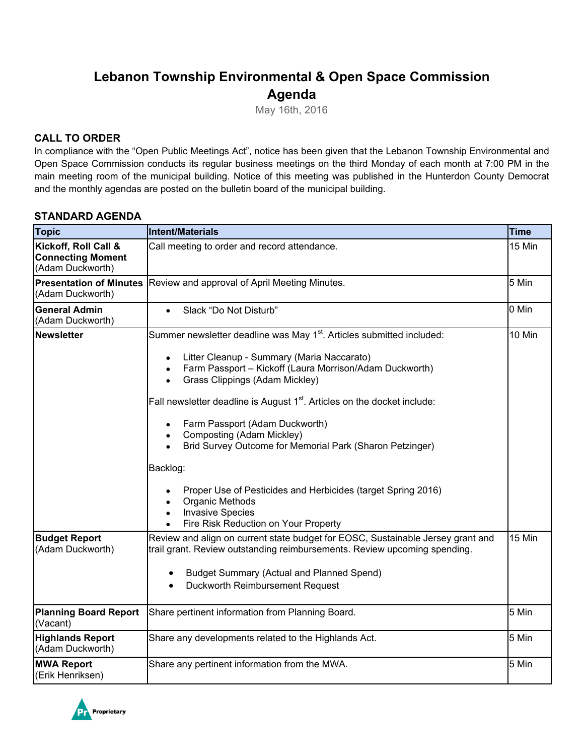# **Lebanon Township Environmental & Open Space Commission Agenda**

May 16th, 2016

## **CALL TO ORDER**

In compliance with the "Open Public Meetings Act", notice has been given that the Lebanon Township Environmental and Open Space Commission conducts its regular business meetings on the third Monday of each month at 7:00 PM in the main meeting room of the municipal building. Notice of this meeting was published in the Hunterdon County Democrat and the monthly agendas are posted on the bulletin board of the municipal building.

## **STANDARD AGENDA**

| <b>Topic</b>                                                         | Intent/Materials<br><b>Time</b>                                                                                                                                                                                                                                                                                                                                                                                                                                                                                 |        |  |
|----------------------------------------------------------------------|-----------------------------------------------------------------------------------------------------------------------------------------------------------------------------------------------------------------------------------------------------------------------------------------------------------------------------------------------------------------------------------------------------------------------------------------------------------------------------------------------------------------|--------|--|
| Kickoff, Roll Call &<br><b>Connecting Moment</b><br>(Adam Duckworth) | 15 Min<br>Call meeting to order and record attendance.                                                                                                                                                                                                                                                                                                                                                                                                                                                          |        |  |
| <b>Presentation of Minutes</b><br>(Adam Duckworth)                   | 5 Min<br>Review and approval of April Meeting Minutes.                                                                                                                                                                                                                                                                                                                                                                                                                                                          |        |  |
| <b>General Admin</b><br>(Adam Duckworth)                             | Slack "Do Not Disturb"<br>$\bullet$                                                                                                                                                                                                                                                                                                                                                                                                                                                                             | 0 Min  |  |
| <b>Newsletter</b>                                                    | Summer newsletter deadline was May 1 <sup>st</sup> . Articles submitted included:<br>Litter Cleanup - Summary (Maria Naccarato)<br>$\bullet$<br>Farm Passport - Kickoff (Laura Morrison/Adam Duckworth)<br>$\bullet$<br>Grass Clippings (Adam Mickley)<br>$\bullet$<br>Fall newsletter deadline is August 1 <sup>st</sup> . Articles on the docket include:<br>Farm Passport (Adam Duckworth)<br>$\bullet$<br>Composting (Adam Mickley)<br>Brid Survey Outcome for Memorial Park (Sharon Petzinger)<br>Backlog: | 10 Min |  |
|                                                                      | Proper Use of Pesticides and Herbicides (target Spring 2016)<br>Organic Methods<br><b>Invasive Species</b><br>Fire Risk Reduction on Your Property<br>$\bullet$                                                                                                                                                                                                                                                                                                                                                 |        |  |
| <b>Budget Report</b><br>(Adam Duckworth)                             | Review and align on current state budget for EOSC, Sustainable Jersey grant and<br>trail grant. Review outstanding reimbursements. Review upcoming spending.<br><b>Budget Summary (Actual and Planned Spend)</b><br>$\bullet$<br>Duckworth Reimbursement Request<br>$\bullet$                                                                                                                                                                                                                                   | 15 Min |  |
| <b>Planning Board Report</b><br>(Vacant)                             | Share pertinent information from Planning Board.                                                                                                                                                                                                                                                                                                                                                                                                                                                                | 5 Min  |  |
| <b>Highlands Report</b><br>(Adam Duckworth)                          | Share any developments related to the Highlands Act.                                                                                                                                                                                                                                                                                                                                                                                                                                                            | 5 Min  |  |
| <b>MWA Report</b><br>(Erik Henriksen)                                | Share any pertinent information from the MWA.                                                                                                                                                                                                                                                                                                                                                                                                                                                                   | 5 Min  |  |

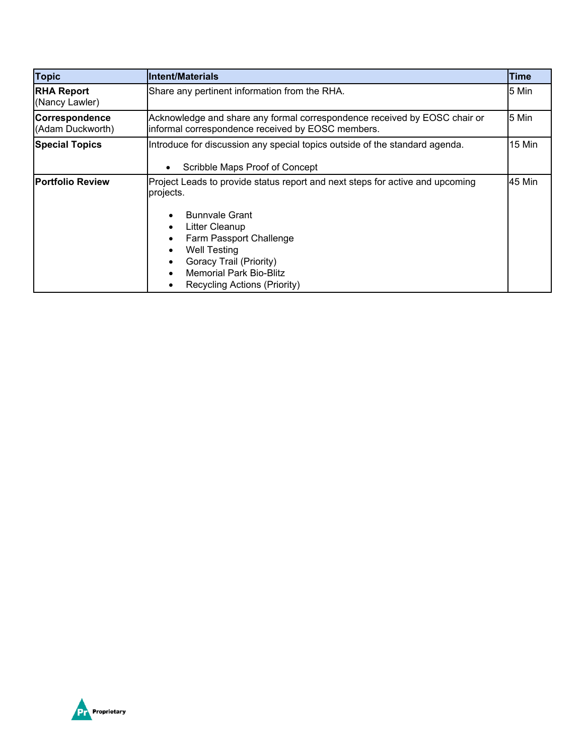| <b>Topic</b>                        | Intent/Materials                                                                                                                                                                                                                                                                     | <b>Time</b> |  |
|-------------------------------------|--------------------------------------------------------------------------------------------------------------------------------------------------------------------------------------------------------------------------------------------------------------------------------------|-------------|--|
| <b>RHA Report</b><br>(Nancy Lawler) | Share any pertinent information from the RHA.                                                                                                                                                                                                                                        |             |  |
| Correspondence<br>(Adam Duckworth)  | 5 Min<br>Acknowledge and share any formal correspondence received by EOSC chair or<br>informal correspondence received by EOSC members.                                                                                                                                              |             |  |
| <b>Special Topics</b>               | Introduce for discussion any special topics outside of the standard agenda.<br>Scribble Maps Proof of Concept                                                                                                                                                                        | 15 Min      |  |
| <b>Portfolio Review</b>             | Project Leads to provide status report and next steps for active and upcoming<br>projects.<br><b>Bunnvale Grant</b><br>Litter Cleanup<br>Farm Passport Challenge<br><b>Well Testing</b><br>Goracy Trail (Priority)<br><b>Memorial Park Bio-Blitz</b><br>Recycling Actions (Priority) | 45 Min      |  |

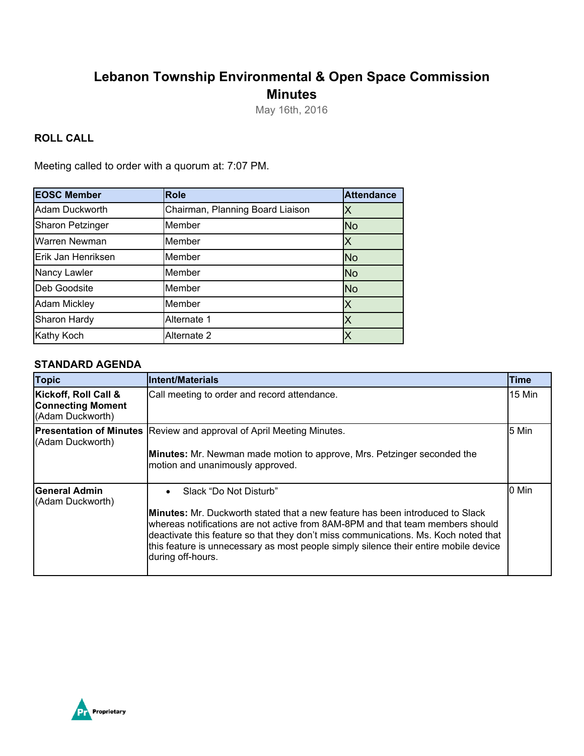## **Lebanon Township Environmental & Open Space Commission Minutes**

May 16th, 2016

## **ROLL CALL**

Meeting called to order with a quorum at: 7:07 PM.

| <b>EOSC Member</b>      | <b>Role</b>                      | <b>Attendance</b> |
|-------------------------|----------------------------------|-------------------|
| Adam Duckworth          | Chairman, Planning Board Liaison |                   |
| <b>Sharon Petzinger</b> | Member                           | <b>No</b>         |
| Warren Newman           | Member                           | X                 |
| Erik Jan Henriksen      | Member                           | <b>No</b>         |
| Nancy Lawler            | Member                           | <b>No</b>         |
| Deb Goodsite            | Member                           | <b>No</b>         |
| <b>Adam Mickley</b>     | Member                           | Χ                 |
| Sharon Hardy            | Alternate 1                      |                   |
| Kathy Koch              | Alternate 2                      |                   |

## **STANDARD AGENDA**

| <b>Topic</b>                                                         | <b>Intent/Materials</b>                                                                                                                                                                                                                                                                                                                                                                                            | <b>Time</b> |
|----------------------------------------------------------------------|--------------------------------------------------------------------------------------------------------------------------------------------------------------------------------------------------------------------------------------------------------------------------------------------------------------------------------------------------------------------------------------------------------------------|-------------|
| Kickoff, Roll Call &<br><b>Connecting Moment</b><br>(Adam Duckworth) | Call meeting to order and record attendance.                                                                                                                                                                                                                                                                                                                                                                       | 15 Min      |
| (Adam Duckworth)                                                     | <b>Presentation of Minutes</b> Review and approval of April Meeting Minutes.<br>Minutes: Mr. Newman made motion to approve, Mrs. Petzinger seconded the<br>motion and unanimously approved.                                                                                                                                                                                                                        | 5 Min       |
| lGeneral Admin<br>(Adam Duckworth)                                   | Slack "Do Not Disturb"<br>$\bullet$<br><b>IMinutes:</b> Mr. Duckworth stated that a new feature has been introduced to Slack<br>whereas notifications are not active from 8AM-8PM and that team members should<br>deactivate this feature so that they don't miss communications. Ms. Koch noted that<br>this feature is unnecessary as most people simply silence their entire mobile device<br>during off-hours. | 0 Min       |

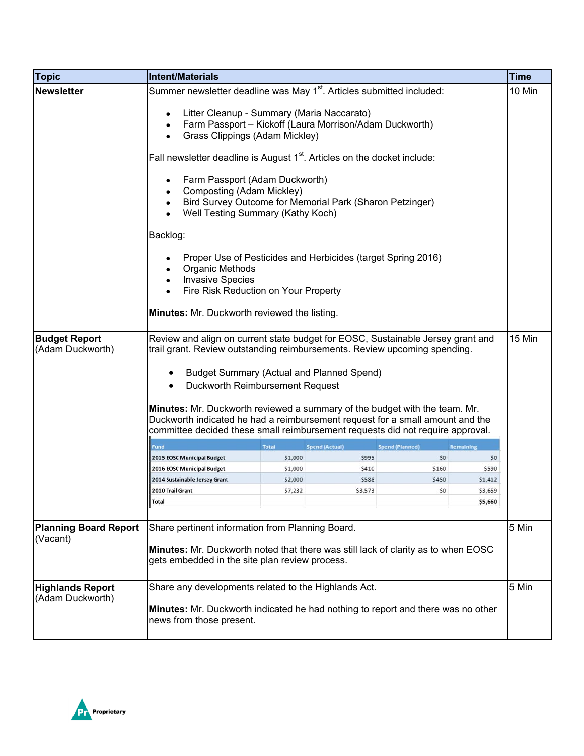| <b>Topic</b>                                                  | Intent/Materials                                                                                                                                                                                                                                                                                                                                                                                                                                                                                                                                                                                                                                                                                                                                                                                                                                                                                                           |                                       |                        |                  |                    | <b>Time</b> |
|---------------------------------------------------------------|----------------------------------------------------------------------------------------------------------------------------------------------------------------------------------------------------------------------------------------------------------------------------------------------------------------------------------------------------------------------------------------------------------------------------------------------------------------------------------------------------------------------------------------------------------------------------------------------------------------------------------------------------------------------------------------------------------------------------------------------------------------------------------------------------------------------------------------------------------------------------------------------------------------------------|---------------------------------------|------------------------|------------------|--------------------|-------------|
| <b>Newsletter</b><br><b>Budget Report</b><br>(Adam Duckworth) | Summer newsletter deadline was May 1 <sup>st</sup> . Articles submitted included:<br>Litter Cleanup - Summary (Maria Naccarato)<br>Farm Passport - Kickoff (Laura Morrison/Adam Duckworth)<br>Grass Clippings (Adam Mickley)<br>Fall newsletter deadline is August 1 <sup>st</sup> . Articles on the docket include:<br>Farm Passport (Adam Duckworth)<br>Composting (Adam Mickley)<br>Bird Survey Outcome for Memorial Park (Sharon Petzinger)<br>Well Testing Summary (Kathy Koch)<br>Backlog:<br>Proper Use of Pesticides and Herbicides (target Spring 2016)<br>Organic Methods<br><b>Invasive Species</b><br>Fire Risk Reduction on Your Property<br>Minutes: Mr. Duckworth reviewed the listing.<br>Review and align on current state budget for EOSC, Sustainable Jersey grant and<br>trail grant. Review outstanding reimbursements. Review upcoming spending.<br><b>Budget Summary (Actual and Planned Spend)</b> |                                       |                        | 10 Min<br>15 Min |                    |             |
|                                                               | Minutes: Mr. Duckworth reviewed a summary of the budget with the team. Mr.                                                                                                                                                                                                                                                                                                                                                                                                                                                                                                                                                                                                                                                                                                                                                                                                                                                 |                                       |                        |                  |                    |             |
|                                                               | Duckworth indicated he had a reimbursement request for a small amount and the<br>committee decided these small reimbursement requests did not require approval.                                                                                                                                                                                                                                                                                                                                                                                                                                                                                                                                                                                                                                                                                                                                                            |                                       |                        |                  |                    |             |
|                                                               | Fund                                                                                                                                                                                                                                                                                                                                                                                                                                                                                                                                                                                                                                                                                                                                                                                                                                                                                                                       | <b>Total</b><br><b>Spend (Actual)</b> | <b>Spend (Planned)</b> |                  | Remaining          |             |
|                                                               | 2015 EOSC Municipal Budget                                                                                                                                                                                                                                                                                                                                                                                                                                                                                                                                                                                                                                                                                                                                                                                                                                                                                                 | \$1,000                               | \$995                  | \$0              | \$0                |             |
|                                                               | 2016 EOSC Municipal Budget                                                                                                                                                                                                                                                                                                                                                                                                                                                                                                                                                                                                                                                                                                                                                                                                                                                                                                 | \$1,000                               | \$410                  | \$160            | \$590              |             |
|                                                               | 2014 Sustainable Jersey Grant                                                                                                                                                                                                                                                                                                                                                                                                                                                                                                                                                                                                                                                                                                                                                                                                                                                                                              | \$2,000                               | \$588                  | \$450            | \$1,412            |             |
|                                                               | 2010 Trail Grant<br>Total                                                                                                                                                                                                                                                                                                                                                                                                                                                                                                                                                                                                                                                                                                                                                                                                                                                                                                  | \$7,232                               | \$3,573                | \$0              | \$3,659<br>\$5,660 |             |
| <b>Planning Board Report</b><br>(Vacant)                      | Share pertinent information from Planning Board.<br><b>Minutes:</b> Mr. Duckworth noted that there was still lack of clarity as to when EOSC<br>gets embedded in the site plan review process.                                                                                                                                                                                                                                                                                                                                                                                                                                                                                                                                                                                                                                                                                                                             |                                       |                        |                  | 5 Min              |             |
| <b>Highlands Report</b><br>(Adam Duckworth)                   | Share any developments related to the Highlands Act.<br>Minutes: Mr. Duckworth indicated he had nothing to report and there was no other<br>news from those present.                                                                                                                                                                                                                                                                                                                                                                                                                                                                                                                                                                                                                                                                                                                                                       |                                       |                        |                  |                    | 5 Min       |

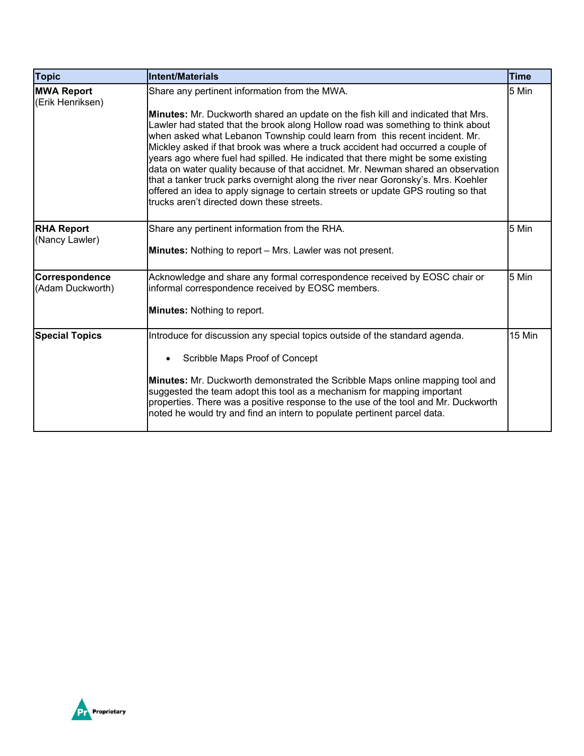| <b>Topic</b>                          | <b>Intent/Materials</b>                                                                                                                                                                                                                                                                                                                                                                                                                                                                                                                                                                                                                                                                                                                                                                       | <b>Time</b> |
|---------------------------------------|-----------------------------------------------------------------------------------------------------------------------------------------------------------------------------------------------------------------------------------------------------------------------------------------------------------------------------------------------------------------------------------------------------------------------------------------------------------------------------------------------------------------------------------------------------------------------------------------------------------------------------------------------------------------------------------------------------------------------------------------------------------------------------------------------|-------------|
| <b>MWA Report</b><br>(Erik Henriksen) | Share any pertinent information from the MWA.<br><b>Minutes:</b> Mr. Duckworth shared an update on the fish kill and indicated that Mrs.<br>Lawler had stated that the brook along Hollow road was something to think about<br>when asked what Lebanon Township could learn from this recent incident. Mr.<br>Mickley asked if that brook was where a truck accident had occurred a couple of<br>years ago where fuel had spilled. He indicated that there might be some existing<br>data on water quality because of that accidnet. Mr. Newman shared an observation<br>that a tanker truck parks overnight along the river near Goronsky's. Mrs. Koehler<br>offered an idea to apply signage to certain streets or update GPS routing so that<br>trucks aren't directed down these streets. | 5 Min       |
| <b>RHA Report</b><br>(Nancy Lawler)   | Share any pertinent information from the RHA.<br><b>Minutes:</b> Nothing to report – Mrs. Lawler was not present.                                                                                                                                                                                                                                                                                                                                                                                                                                                                                                                                                                                                                                                                             |             |
| Correspondence<br>(Adam Duckworth)    | Acknowledge and share any formal correspondence received by EOSC chair or<br>informal correspondence received by EOSC members.<br><b>Minutes: Nothing to report.</b>                                                                                                                                                                                                                                                                                                                                                                                                                                                                                                                                                                                                                          |             |
| <b>Special Topics</b>                 | Introduce for discussion any special topics outside of the standard agenda.<br>Scribble Maps Proof of Concept<br>Minutes: Mr. Duckworth demonstrated the Scribble Maps online mapping tool and<br>suggested the team adopt this tool as a mechanism for mapping important<br>properties. There was a positive response to the use of the tool and Mr. Duckworth<br>noted he would try and find an intern to populate pertinent parcel data.                                                                                                                                                                                                                                                                                                                                                   | 15 Min      |